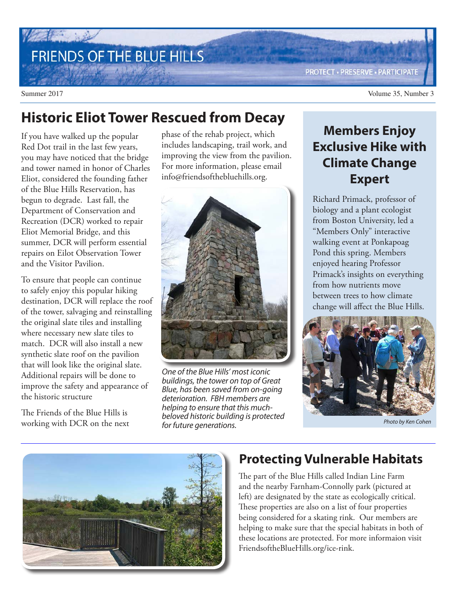# FRIENDS OF THE BLUE HILLS

Summer 2017 Volume 35, Number 3

## **Historic Eliot Tower Rescued from Decay**

If you have walked up the popular Red Dot trail in the last few years, you may have noticed that the bridge and tower named in honor of Charles Eliot, considered the founding father of the Blue Hills Reservation, has begun to degrade. Last fall, the Department of Conservation and Recreation (DCR) worked to repair Eliot Memorial Bridge, and this summer, DCR will perform essential repairs on Eilot Observation Tower and the Visitor Pavilion.

To ensure that people can continue to safely enjoy this popular hiking destination, DCR will replace the roof of the tower, salvaging and reinstalling the original slate tiles and installing where necessary new slate tiles to match. DCR will also install a new synthetic slate roof on the pavilion that will look like the original slate. Additional repairs will be done to improve the safety and appearance of the historic structure

The Friends of the Blue Hills is working with DCR on the next phase of the rehab project, which includes landscaping, trail work, and improving the view from the pavilion. For more information, please email info@friendsofthebluehills.org.



One of the Blue Hills' most iconic buildings, the tower on top of Great Blue, has been saved from on-going deterioration. FBH members are helping to ensure that this muchbeloved historic building is protected for future generations.

## **Members Enjoy Exclusive Hike with Climate Change Expert**

Richard Primack, professor of biology and a plant ecologist from Boston University, led a "Members Only" interactive walking event at Ponkapoag Pond this spring. Members enjoyed hearing Professor Primack's insights on everything from how nutrients move between trees to how climate change will affect the Blue Hills.



Photo by Ken Cohen



#### **Protecting Vulnerable Habitats**

The part of the Blue Hills called Indian Line Farm and the nearby Farnham-Connolly park (pictured at left) are designated by the state as ecologically critical. These properties are also on a list of four properties being considered for a skating rink. Our members are helping to make sure that the special habitats in both of these locations are protected. For more informaion visit FriendsoftheBlueHills.org/ice-rink.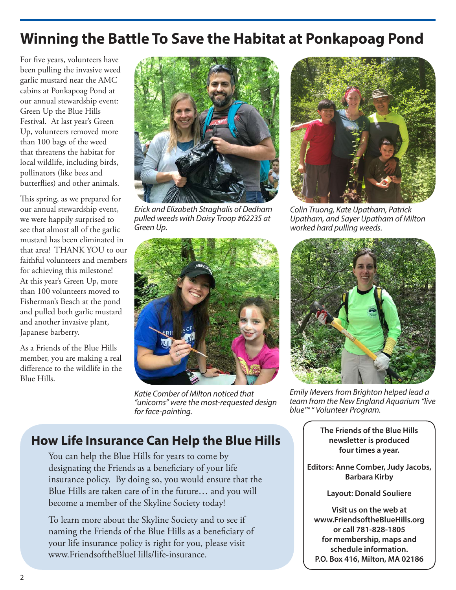## **Winning the Battle To Save the Habitat at Ponkapoag Pond**

For five years, volunteers have been pulling the invasive weed garlic mustard near the AMC cabins at Ponkapoag Pond at our annual stewardship event: Green Up the Blue Hills Festival. At last year's Green Up, volunteers removed more than 100 bags of the weed that threatens the habitat for local wildlife, including birds, pollinators (like bees and butterflies) and other animals.

This spring, as we prepared for our annual stewardship event, we were happily surprised to see that almost all of the garlic mustard has been eliminated in that area! THANK YOU to our faithful volunteers and members for achieving this milestone! At this year's Green Up, more than 100 volunteers moved to Fisherman's Beach at the pond and pulled both garlic mustard and another invasive plant, Japanese barberry.

As a Friends of the Blue Hills member, you are making a real difference to the wildlife in the Blue Hills.



Erick and Elizabeth Straghalis of Dedham pulled weeds with Daisy Troop #62235 at Green Up.



Colin Truong, Kate Upatham, Patrick Upatham, and Sayer Upatham of Milton worked hard pulling weeds.



Katie Comber of Milton noticed that "unicorns" were the most-requested design for face-painting.

Emily Mevers from Brighton helped lead a team from the New England Aquarium "live blue™ " Volunteer Program.

**The Friends of the Blue Hills newsletter is produced four times a year.**

**Editors: Anne Comber, Judy Jacobs, Barbara Kirby**

**Layout: Donald Souliere**

**Visit us on the web at www.FriendsoftheBlueHills.org or call 781-828-1805 for membership, maps and schedule information. P.O. Box 416, Milton, MA 02186**

### **How Life Insurance Can Help the Blue Hills**

You can help the Blue Hills for years to come by designating the Friends as a beneficiary of your life insurance policy. By doing so, you would ensure that the Blue Hills are taken care of in the future… and you will become a member of the Skyline Society today!

To learn more about the Skyline Society and to see if naming the Friends of the Blue Hills as a beneficiary of your life insurance policy is right for you, please visit www.FriendsoftheBlueHills/life-insurance.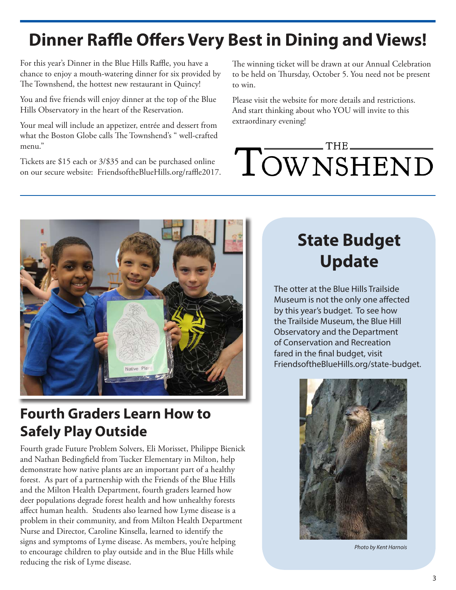# **Dinner Raffle Offers Very Best in Dining and Views!**

For this year's Dinner in the Blue Hills Raffle, you have a chance to enjoy a mouth-watering dinner for six provided by The Townshend, the hottest new restaurant in Quincy!

You and five friends will enjoy dinner at the top of the Blue Hills Observatory in the heart of the Reservation.

Your meal will include an appetizer, entrée and dessert from what the Boston Globe calls The Townshend's " well-crafted menu."

Tickets are \$15 each or 3/\$35 and can be purchased online on our secure website: FriendsoftheBlueHills.org/raffle2017. The winning ticket will be drawn at our Annual Celebration to be held on Thursday, October 5. You need not be present to win.

Please visit the website for more details and restrictions. And start thinking about who YOU will invite to this extraordinary evening!

# $-$  THE. TOWNSHEND



## **Fourth Graders Learn How to Safely Play Outside**

Fourth grade Future Problem Solvers, Eli Morisset, Philippe Bienick and Nathan Bedingfield from Tucker Elementary in Milton, help demonstrate how native plants are an important part of a healthy forest. As part of a partnership with the Friends of the Blue Hills and the Milton Health Department, fourth graders learned how deer populations degrade forest health and how unhealthy forests affect human health. Students also learned how Lyme disease is a problem in their community, and from Milton Health Department Nurse and Director, Caroline Kinsella, learned to identify the signs and symptoms of Lyme disease. As members, you're helping to encourage children to play outside and in the Blue Hills while reducing the risk of Lyme disease.

## **State Budget Update**

The otter at the Blue Hills Trailside Museum is not the only one affected by this year's budget. To see how the Trailside Museum, the Blue Hill Observatory and the Department of Conservation and Recreation fared in the final budget, visit FriendsoftheBlueHills.org/state-budget.



Photo by Kent Harnois